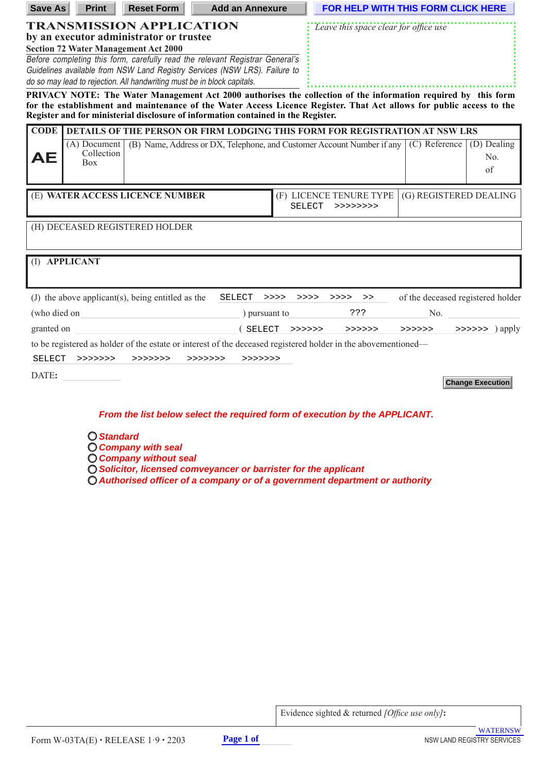| <b>Save As</b>                                                                                                                                        | <b>Print</b>                               | <b>Reset Form</b>                                                          | <b>Add an Annexure</b>                                                                                                                                                                                    |              | <b>FOR HELP WITH THIS FORM CLICK HERE</b>    |                                                                                                         |                          |
|-------------------------------------------------------------------------------------------------------------------------------------------------------|--------------------------------------------|----------------------------------------------------------------------------|-----------------------------------------------------------------------------------------------------------------------------------------------------------------------------------------------------------|--------------|----------------------------------------------|---------------------------------------------------------------------------------------------------------|--------------------------|
|                                                                                                                                                       |                                            | <b>TRANSMISSION APPLICATION</b><br>by an executor administrator or trustee |                                                                                                                                                                                                           |              | <i>Leave this space clear for office use</i> |                                                                                                         |                          |
|                                                                                                                                                       |                                            | <b>Section 72 Water Management Act 2000</b>                                |                                                                                                                                                                                                           |              |                                              |                                                                                                         |                          |
| Before completing this form, carefully read the relevant Registrar General's                                                                          |                                            |                                                                            |                                                                                                                                                                                                           |              |                                              |                                                                                                         |                          |
| Guidelines available from NSW Land Registry Services (NSW LRS). Failure to<br>do so may lead to rejection. All handwriting must be in block capitals. |                                            |                                                                            |                                                                                                                                                                                                           |              |                                              |                                                                                                         |                          |
|                                                                                                                                                       |                                            |                                                                            | PRIVACY NOTE: The Water Management Act 2000 authorises the collection of the information required by this form                                                                                            |              |                                              |                                                                                                         |                          |
|                                                                                                                                                       |                                            |                                                                            | for the establishment and maintenance of the Water Access Licence Register. That Act allows for public access to the<br>Register and for ministerial disclosure of information contained in the Register. |              |                                              |                                                                                                         |                          |
| <b>CODE</b>                                                                                                                                           |                                            |                                                                            | DETAILS OF THE PERSON OR FIRM LODGING THIS FORM FOR REGISTRATION AT NSW LRS                                                                                                                               |              |                                              |                                                                                                         |                          |
| AE                                                                                                                                                    | $(A)$ Document<br>Collection<br><b>Box</b> |                                                                            | (B) Name, Address or DX, Telephone, and Customer Account Number if any                                                                                                                                    |              |                                              | (C) Reference                                                                                           | (D) Dealing<br>No.<br>of |
|                                                                                                                                                       |                                            | (E) WATER ACCESS LICENCE NUMBER                                            |                                                                                                                                                                                                           | SELECT       | (F) LICENCE TENURE TYPE<br>>>>>>>>>>         | (G) REGISTERED DEALING                                                                                  |                          |
|                                                                                                                                                       |                                            | (H) DECEASED REGISTERED HOLDER                                             |                                                                                                                                                                                                           |              |                                              |                                                                                                         |                          |
|                                                                                                                                                       | (I) APPLICANT                              |                                                                            |                                                                                                                                                                                                           |              |                                              |                                                                                                         |                          |
|                                                                                                                                                       |                                            | $(J)$ the above applicant(s), being entitled as the                        | SELECT                                                                                                                                                                                                    | >>>><br>>>>> | >>>><br>>>                                   | of the deceased registered holder                                                                       |                          |
| (who died on                                                                                                                                          |                                            |                                                                            | ) pursuant to                                                                                                                                                                                             |              | ? ? ?                                        | No.                                                                                                     |                          |
| granted on                                                                                                                                            |                                            |                                                                            | ( SELECT                                                                                                                                                                                                  |              |                                              |                                                                                                         |                          |
|                                                                                                                                                       |                                            |                                                                            |                                                                                                                                                                                                           |              | >>>>>> >>>>>>>                               | $\rightarrow \rightarrow \rightarrow \rightarrow \rightarrow \rightarrow \rightarrow \rightarrow$ apply |                          |
|                                                                                                                                                       |                                            |                                                                            | to be registered as holder of the estate or interest of the deceased registered holder in the abovementioned—<br>SELECT >>>>>>>> >>>>>>>> >>>>>>>> >>>>>>                                                 |              |                                              |                                                                                                         |                          |
| DATE:                                                                                                                                                 |                                            |                                                                            |                                                                                                                                                                                                           |              |                                              |                                                                                                         | <b>Change Execution</b>  |
|                                                                                                                                                       |                                            |                                                                            | From the list below select the required form of execution by the APPLICANT.                                                                                                                               |              |                                              |                                                                                                         |                          |
|                                                                                                                                                       | <b>Cionalogal</b>                          |                                                                            |                                                                                                                                                                                                           |              |                                              |                                                                                                         |                          |

- **Standard Company with seal**
- **Company without seal**
- **Solicitor, licensed comveyancer or barrister for the applicant**
- **Authorised officer of a company or of a government department or authority**

Evidence sighted & returned *[Office use only]***:**